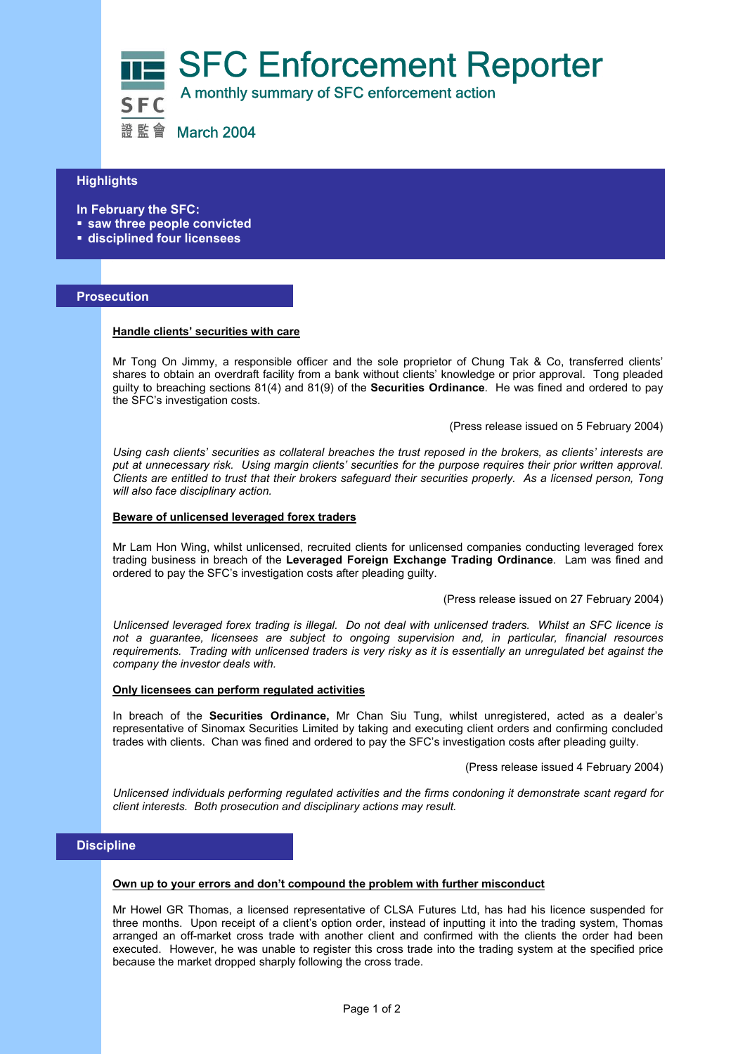

# **Highlights**

**In February the SFC:** 

- **saw three people convicted**
- **disciplined four licensees**

# **Prosecution**

l

## **Handle clients' securities with care**

Mr Tong On Jimmy, a responsible officer and the sole proprietor of Chung Tak & Co, transferred clients' shares to obtain an overdraft facility from a bank without clients' knowledge or prior approval. Tong pleaded guilty to breaching sections 81(4) and 81(9) of the **Securities Ordinance**. He was fined and ordered to pay the SFC's investigation costs.

(Press release issued on 5 February 2004)

*Using cash clients' securities as collateral breaches the trust reposed in the brokers, as clients' interests are put at unnecessary risk. Using margin clients' securities for the purpose requires their prior written approval. Clients are entitled to trust that their brokers safeguard their securities properly. As a licensed person, Tong will also face disciplinary action.* 

#### **Beware of unlicensed leveraged forex traders**

Mr Lam Hon Wing, whilst unlicensed, recruited clients for unlicensed companies conducting leveraged forex trading business in breach of the **Leveraged Foreign Exchange Trading Ordinance**. Lam was fined and ordered to pay the SFC's investigation costs after pleading guilty.

(Press release issued on 27 February 2004)

*Unlicensed leveraged forex trading is illegal. Do not deal with unlicensed traders. Whilst an SFC licence is not a guarantee, licensees are subject to ongoing supervision and, in particular, financial resources requirements. Trading with unlicensed traders is very risky as it is essentially an unregulated bet against the company the investor deals with.* 

## **Only licensees can perform regulated activities**

In breach of the **Securities Ordinance,** Mr Chan Siu Tung, whilst unregistered, acted as a dealer's representative of Sinomax Securities Limited by taking and executing client orders and confirming concluded trades with clients. Chan was fined and ordered to pay the SFC's investigation costs after pleading guilty.

(Press release issued 4 February 2004)

*Unlicensed individuals performing regulated activities and the firms condoning it demonstrate scant regard for client interests. Both prosecution and disciplinary actions may result.* 

# **Discipline**

#### **Own up to your errors and don't compound the problem with further misconduct**

Mr Howel GR Thomas, a licensed representative of CLSA Futures Ltd, has had his licence suspended for three months. Upon receipt of a client's option order, instead of inputting it into the trading system, Thomas arranged an off-market cross trade with another client and confirmed with the clients the order had been executed. However, he was unable to register this cross trade into the trading system at the specified price because the market dropped sharply following the cross trade.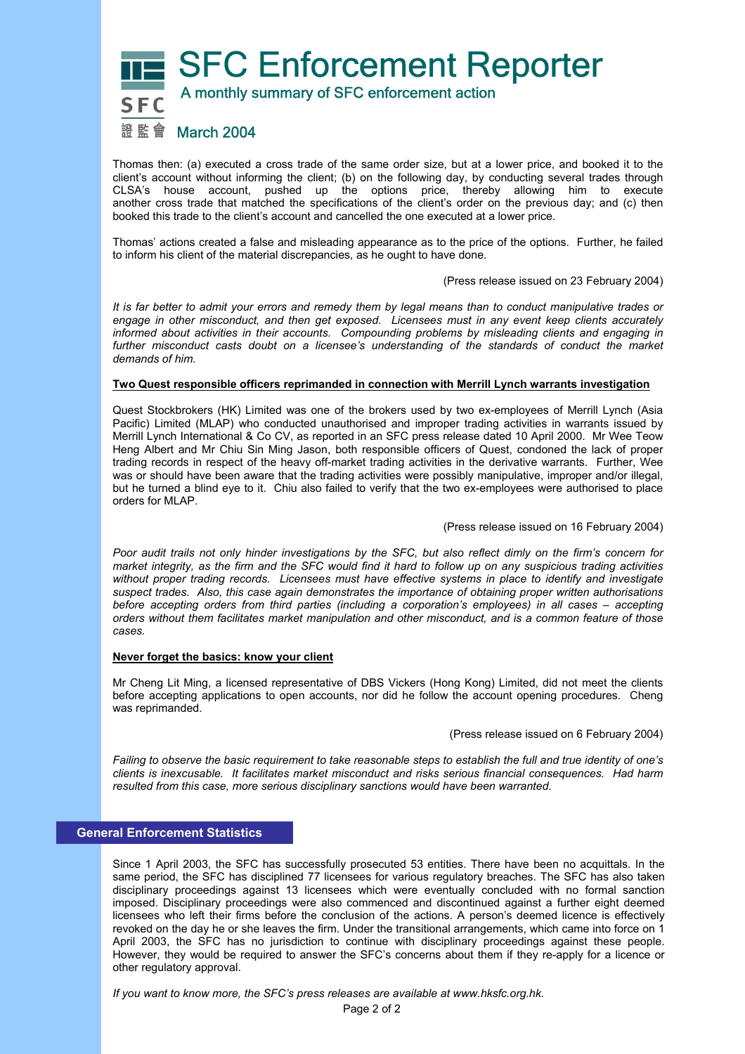**SFC Enforcement Reporter** A monthly summary of SFC enforcement action



# 證監會 March 2004

Thomas then: (a) executed a cross trade of the same order size, but at a lower price, and booked it to the client's account without informing the client; (b) on the following day, by conducting several trades through CLSA's house account, pushed up the options price, thereby allowing him to execute another cross trade that matched the specifications of the client's order on the previous day; and (c) then booked this trade to the client's account and cancelled the one executed at a lower price.

Thomas' actions created a false and misleading appearance as to the price of the options. Further, he failed to inform his client of the material discrepancies, as he ought to have done.

(Press release issued on 23 February 2004)

*It is far better to admit your errors and remedy them by legal means than to conduct manipulative trades or engage in other misconduct, and then get exposed. Licensees must in any event keep clients accurately informed about activities in their accounts. Compounding problems by misleading clients and engaging in*  further misconduct casts doubt on a licensee's understanding of the standards of conduct the market *demands of him.* 

## **Two Quest responsible officers reprimanded in connection with Merrill Lynch warrants investigation**

Quest Stockbrokers (HK) Limited was one of the brokers used by two ex-employees of Merrill Lynch (Asia Pacific) Limited (MLAP) who conducted unauthorised and improper trading activities in warrants issued by Merrill Lynch International & Co CV, as reported in an SFC press release dated 10 April 2000. Mr Wee Teow Heng Albert and Mr Chiu Sin Ming Jason, both responsible officers of Quest, condoned the lack of proper trading records in respect of the heavy off-market trading activities in the derivative warrants. Further, Wee was or should have been aware that the trading activities were possibly manipulative, improper and/or illegal, but he turned a blind eye to it. Chiu also failed to verify that the two ex-employees were authorised to place orders for MLAP.

(Press release issued on 16 February 2004)

*Poor audit trails not only hinder investigations by the SFC, but also reflect dimly on the firm's concern for market integrity, as the firm and the SFC would find it hard to follow up on any suspicious trading activities without proper trading records. Licensees must have effective systems in place to identify and investigate suspect trades. Also, this case again demonstrates the importance of obtaining proper written authorisations before accepting orders from third parties (including a corporation's employees) in all cases – accepting orders without them facilitates market manipulation and other misconduct, and is a common feature of those cases.* 

## **Never forget the basics: know your client**

Mr Cheng Lit Ming, a licensed representative of DBS Vickers (Hong Kong) Limited, did not meet the clients before accepting applications to open accounts, nor did he follow the account opening procedures. Cheng was reprimanded.

(Press release issued on 6 February 2004)

*Failing to observe the basic requirement to take reasonable steps to establish the full and true identity of one's clients is inexcusable. It facilitates market misconduct and risks serious financial consequences. Had harm resulted from this case, more serious disciplinary sanctions would have been warranted.* 

# **General Enforcement Statistics**

Since 1 April 2003, the SFC has successfully prosecuted 53 entities. There have been no acquittals. In the same period, the SFC has disciplined 77 licensees for various regulatory breaches. The SFC has also taken disciplinary proceedings against 13 licensees which were eventually concluded with no formal sanction imposed. Disciplinary proceedings were also commenced and discontinued against a further eight deemed licensees who left their firms before the conclusion of the actions. A person's deemed licence is effectively revoked on the day he or she leaves the firm. Under the transitional arrangements, which came into force on 1 April 2003, the SFC has no jurisdiction to continue with disciplinary proceedings against these people. However, they would be required to answer the SFC's concerns about them if they re-apply for a licence or other regulatory approval.

*If you want to know more, the SFC's press releases are available at www.hksfc.org.hk.*